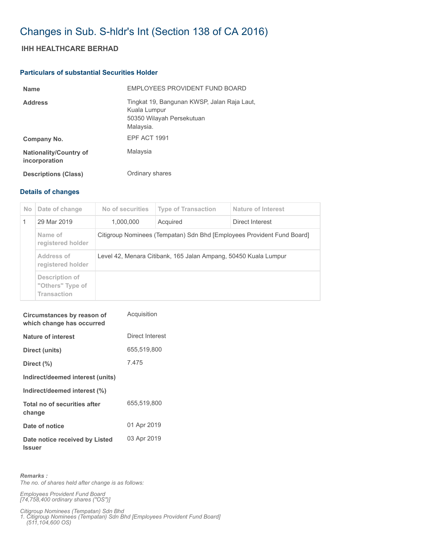## Changes in Sub. S-hldr's Int (Section 138 of CA 2016)

## **IHH HEALTHCARE BERHAD**

## **Particulars of substantial Securities Holder**

| <b>Name</b>                                    | <b>FMPLOYEES PROVIDENT FUND BOARD</b>                                                                 |
|------------------------------------------------|-------------------------------------------------------------------------------------------------------|
| <b>Address</b>                                 | Tingkat 19, Bangunan KWSP, Jalan Raja Laut,<br>Kuala Lumpur<br>50350 Wilayah Persekutuan<br>Malaysia. |
| Company No.                                    | EPF ACT 1991                                                                                          |
| <b>Nationality/Country of</b><br>incorporation | Malaysia                                                                                              |
| <b>Descriptions (Class)</b>                    | Ordinary shares                                                                                       |

## **Details of changes**

| No. | Date of change                                           | No of securities                                                       | <b>Type of Transaction</b> | Nature of Interest |  |
|-----|----------------------------------------------------------|------------------------------------------------------------------------|----------------------------|--------------------|--|
|     | 29 Mar 2019                                              | 1.000.000                                                              | Acquired                   | Direct Interest    |  |
|     | Name of<br>registered holder                             | Citigroup Nominees (Tempatan) Sdn Bhd [Employees Provident Fund Board] |                            |                    |  |
|     | Address of<br>registered holder                          | Level 42, Menara Citibank, 165 Jalan Ampang, 50450 Kuala Lumpur        |                            |                    |  |
|     | Description of<br>"Others" Type of<br><b>Transaction</b> |                                                                        |                            |                    |  |

| Circumstances by reason of<br>which change has occurred | Acquisition     |
|---------------------------------------------------------|-----------------|
| Nature of interest                                      | Direct Interest |
| Direct (units)                                          | 655,519,800     |
| Direct (%)                                              | 7.475           |
| Indirect/deemed interest (units)                        |                 |
| Indirect/deemed interest (%)                            |                 |
| Total no of securities after<br>change                  | 655,519,800     |
| Date of notice                                          | 01 Apr 2019     |
| Date notice received by Listed<br><b>Issuer</b>         | 03 Apr 2019     |

*Remarks : The no. of shares held after change is as follows:*

*Employees Provident Fund Board [74,758,400 ordinary shares ("OS")]*

*Citigroup Nominees (Tempatan) Sdn Bhd* 

*1. Citigroup Nominees (Tempatan) Sdn Bhd [Employees Provident Fund Board] (511,104,600 OS)*